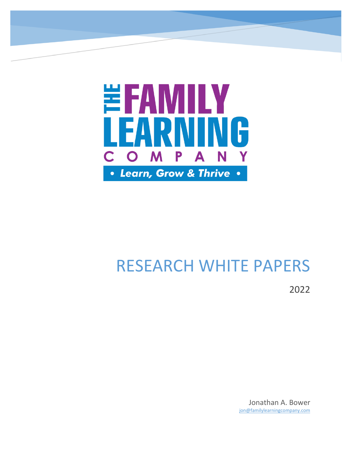

# RESEARCH WHITE PAPERS

2022

Jonathan A. Bower jon@familylearningcompany.com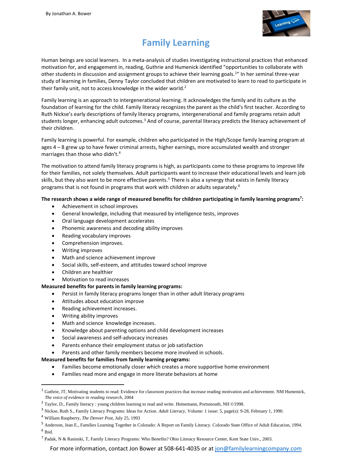

# **Family Learning**

Human beings are social learners. In a meta-analysis of studies investigating instructional practices that enhanced motivation for, and engagement in, reading, Guthrie and Humenick identified "opportunities to collaborate with other students in discussion and assignment groups to achieve their learning goals.<sup>1</sup>" In her seminal three-year study of learning in families, Denny Taylor concluded that children are motivated to learn to read to participate in their family unit, not to access knowledge in the wider world.<sup>2</sup>

Family learning is an approach to intergenerational learning. It acknowledges the family and its culture as the foundation of learning for the child. Family literacy recognizes the parent as the child's first teacher. According to Ruth Nickse's early descriptions of family literacy programs, intergenerational and family programs retain adult students longer, enhancing adult outcomes.<sup>3</sup> And of course, parental literacy predicts the literacy achievement of their children.

Family learning is powerful. For example, children who participated in the High/Scope family learning program at ages 4 – 8 grew up to have fewer criminal arrests, higher earnings, more accumulated wealth and stronger marriages than those who didn't.<sup>4</sup>

The motivation to attend family literacy programs is high, as participants come to these programs to improve life for their families, not solely themselves. Adult participants want to increase their educational levels and learn job skills, but they also want to be more effective parents.<sup>5</sup> There is also a synergy that exists in family literacy programs that is not found in programs that work with children or adults separately.<sup>6</sup>

#### **The research shows a wide range of measured benefits for children participating in family learning programs<sup>7</sup> :**

- Achievement in school improves
- General knowledge, including that measured by intelligence tests, improves
- Oral language development accelerates
- Phonemic awareness and decoding ability improves
- Reading vocabulary improves
- Comprehension improves.
- Writing improves
- Math and science achievement improve
- Social skills, self-esteem, and attitudes toward school improve
- Children are healthier
- Motivation to read increases

#### **Measured benefits for parents in family learning programs:**

- Persist in family literacy programs longer than in other adult literacy programs
- Attitudes about education improve
- Reading achievement increases.
- Writing ability improves
- Math and science knowledge increases.
- Knowledge about parenting options and child development increases
- Social awareness and self-advocacy increases
- Parents enhance their employment status or job satisfaction
- Parents and other family members become more involved in schools.

#### **Measured benefits for families from family learning programs:**

- Families become emotionally closer which creates a more supportive home environment
- Families read more and engage in more literate behaviors at home

For more information, contact Jon Bower at 508-641-4035 or at [jon@familylearningcompany.com](mailto:jon@familylearningcompany.com)

<sup>&</sup>lt;sup>1</sup> Guthrie, JT, Motivating students to read: Evidence for classroom practices that increase reading motivation and achievement. NM Humenick, *The voice of evidence in reading research*, 2004

<sup>2</sup> Taylor, D.[, Family literacy : young children learning to read and write.](https://www.worldcat.org/title/family-literacy-young-children-learning-to-read-and-write/oclc/40597081&referer=brief_results) Heinemann, Portsmouth, NH ©1998.

<sup>3</sup> Nickse, Ruth S., Family Literacy Programs: Ideas for Action. *Adult Literacy*, Volume: 1 issue: 5, page(s): 9-28, February 1, 1990.

<sup>4</sup> William Raspberry, *The Denver Post*, July 25, 1993

<sup>5</sup> Anderson, Jean E., Families Learning Together in Colorado: A Report on Family Literacy. Colorado State Office of Adult Education, 1994.

<sup>6</sup> Ibid.

<sup>&</sup>lt;sup>7</sup> Padak, N & Rasinski, T, Family Literacy Programs: Who Benefits? Ohio Literacy Resource Center, Kent State Univ., 2003.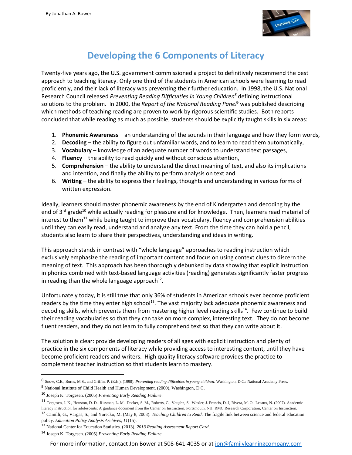

#### **Developing the 6 Components of Literacy**

Twenty-five years ago, the U.S. government commissioned a project to definitively recommend the best approach to teaching literacy. Only one third of the students in American schools were learning to read proficiently, and their lack of literacy was preventing their further education. In 1998, the U.S. National Research Council released *Preventing Reading Difficulties in Young Children<sup>8</sup>* defining instructional solutions to the problem. In 2000, the *Report of the National Reading Panel*<sup>9</sup> was published describing which methods of teaching reading are proven to work by rigorous scientific studies. Both reports concluded that while reading as much as possible, students should be explicitly taught skills in six areas:

- 1. **Phonemic Awareness** an understanding of the sounds in their language and how they form words,
- 2. **Decoding** the ability to figure out unfamiliar words, and to learn to read them automatically,
- 3. **Vocabulary** knowledge of an adequate number of words to understand text passages,
- 4. **Fluency** the ability to read quickly and without conscious attention,
- 5. **Comprehension** the ability to understand the direct meaning of text, and also its implications and intention, and finally the ability to perform analysis on text and
- 6. **Writing**  the ability to express their feelings, thoughts and understanding in various forms of written expression.

Ideally, learners should master phonemic awareness by the end of Kindergarten and decoding by the end of 3<sup>rd</sup> grade<sup>10</sup> while actually reading for pleasure and for knowledge. Then, learners read material of interest to them<sup>11</sup> while being taught to improve their vocabulary, fluency and comprehension abilities until they can easily read, understand and analyze any text. From the time they can hold a pencil, students also learn to share their perspectives, understanding and ideas in writing.

This approach stands in contrast with "whole language" approaches to reading instruction which exclusively emphasize the reading of important content and focus on using context clues to discern the meaning of text. This approach has been thoroughly debunked by data showing that explicit instruction in phonics combined with text-based language activities (reading) generates significantly faster progress in reading than the whole language approach $^{12}$ .

Unfortunately today, it is still true that only 36% of students in American schools ever become proficient readers by the time they enter high school<sup>13</sup>. The vast majority lack adequate phonemic awareness and decoding skills, which prevents them from mastering higher level reading skills<sup>14</sup>. Few continue to build their reading vocabularies so that they can take on more complex, interesting text. They do not become fluent readers, and they do not learn to fully comprehend text so that they can write about it.

The solution is clear: provide developing readers of all ages with explicit instruction and plenty of practice in the six components of literacy while providing access to interesting content, until they have become proficient readers and writers. High quality literacy software provides the practice to complement teacher instruction so that students learn to mastery.

<sup>11</sup> Torgesen, J. K., Houston, D. D., Rissman, L. M., Decker, S. M., Roberts, G., Vaughn, S., Wexler, J. Francis, D. J, Rivera, M. O., Lesaux, N. (2007). Academic literacy instruction for adolescents: A guidance document from the Center on Instruction. Portsmouth, NH: RMC Research Corporation, Center on Instruction.

<sup>8</sup> Snow, C.E., Burns, M.S., and Griffin, P. (Eds.). (1998). *Preventing reading difficulties in young children*. Washington, D.C.: National Academy Press.

<sup>9</sup> National Institute of Child Health and Human Development. (2000), Washington, D.C.

<sup>10</sup> Joseph K. Torgesen. (2005) *Preventing Early Reading Failure*.

<sup>12</sup> Camilli, G., Vargas, S., and Yurecko, M. (May 8, 2003). *Teaching Children to Read*: The fragile link between science and federal education policy. *Education Policy Analysis Archives, 11*(15).

<sup>13</sup> National Center for Education Statistics. (2013). *2013 Reading Assessment Report Card*.

<sup>14</sup> Joseph K. Torgesen. (2005) *Preventing Early Reading Failure*.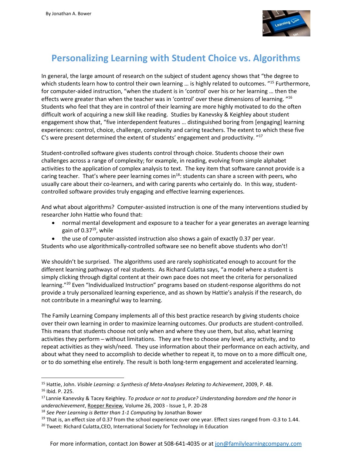

### **Personalizing Learning with Student Choice vs. Algorithms**

In general, the large amount of research on the subject of student agency shows that "the degree to which students learn how to control their own learning ... is highly related to outcomes. "<sup>15</sup> Furthermore, for computer-aided instruction, "when the student is in 'control' over his or her learning … then the effects were greater than when the teacher was in 'control' over these dimensions of learning. "<sup>16</sup> Students who feel that they are in control of their learning are more highly motivated to do the often difficult work of acquiring a new skill like reading. Studies by Kanevsky & Keighley about student engagement show that, "five interdependent features … distinguished boring from [engaging] learning experiences: control, choice, challenge, complexity and caring teachers. The extent to which these five C's were present determined the extent of students' engagement and productivity. "<sup>17</sup>

Student-controlled software gives students control through choice. Students choose their own challenges across a range of complexity; for example, in reading, evolving from simple alphabet activities to the application of complex analysis to text. The key item that software cannot provide is a caring teacher. That's where peer learning comes in<sup>18</sup>: students can share a screen with peers, who usually care about their co-learners, and with caring parents who certainly do. In this way, studentcontrolled software provides truly engaging and effective learning experiences.

And what about algorithms? Computer-assisted instruction is one of the many interventions studied by researcher John Hattie who found that:

- normal mental development and exposure to a teacher for a year generates an average learning gain of  $0.37^{19}$ , while
- the use of computer-assisted instruction also shows a gain of exactly 0.37 per year.

Students who use algorithmically-controlled software see no benefit above students who don't!

We shouldn't be surprised. The algorithms used are rarely sophisticated enough to account for the different learning pathways of real students. As Richard Culatta says, "a model where a student is simply clicking through digital content at their own pace does not meet the criteria for personalized learning."<sup>20</sup> Even "Individualized Instruction" programs based on student-response algorithms do not provide a truly personalized learning experience, and as shown by Hattie's analysis if the research, do not contribute in a meaningful way to learning.

The Family Learning Company implements all of this best practice research by giving students choice over their own learning in order to maximize learning outcomes. Our products are student-controlled. This means that students choose not only when and where they use them, but also, what learning activities they perform ̶ without limitations. They are free to choose any level, any activity, and to repeat activities as they wish/need. They use information about their performance on each activity, and about what they need to accomplish to decide whether to repeat it, to move on to a more difficult one, or to do something else entirely. The result is both long-term engagement and accelerated learning.

<sup>15</sup> Hattie, John. *Visible Learning: a Synthesis of Meta-Analyses Relating to Achievement*, 2009, P. 48. <sup>16</sup> Ibid. P. 225.

<sup>17</sup> Lannie Kanevsky & Tacey Keighley. *To produce or not to produce? Understanding boredom and the honor in underachievement*[, Roeper Review,](http://www.tandfonline.com/toc/uror20/current) Volume 26, 2003 - Issue 1, P. 20-28

<sup>18</sup> *See Peer Learning is Better than 1-1 Computing* by Jonathan Bower

 $19$  That is, an effect size of 0.37 from the school experience over one year. Effect sizes ranged from -0.3 to 1.44.

<sup>&</sup>lt;sup>20</sup> Tweet: Richard Culatta, CEO, International Society for Technology in Education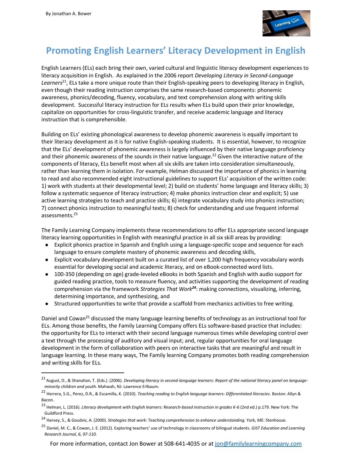

# **Promoting English Learners' Literacy Development in English**

English Learners (ELs) each bring their own, varied cultural and linguistic literacy development experiences to literacy acquisition in English. As explained in the 2006 report *Developing Literacy in Second-Language Learners*<sup>21</sup>, ELs take a more unique route than their English-speaking peers to developing literacy in English, even though their reading instruction comprises the same research-based components: phonemic awareness, phonics/decoding, fluency, vocabulary, and text comprehension along with writing skills development. Successful literacy instruction for ELs results when ELs build upon their prior knowledge, capitalize on opportunities for cross-linguistic transfer, and receive academic language and literacy instruction that is comprehensible.

Building on ELs' existing phonological awareness to develop phonemic awareness is equally important to their literacy development as it is for native English-speaking students. It is essential, however, to recognize that the ELs' development of phonemic awareness is largely influenced by their native language proficiency and their phonemic awareness of the sounds in their native language.<sup>22</sup> Given the interactive nature of the components of literacy, ELs benefit most when all six skills are taken into consideration simultaneously, rather than learning them in isolation. For example, Helman discussed the importance of phonics in learning to read and also recommended eight instructional guidelines to support ELs' acquisition of the written code: 1) work with students at their developmental level; 2) build on students' home language and literacy skills; 3) follow a systematic sequence of literacy instruction; 4) make phonics instruction clear and explicit; 5) use active learning strategies to teach and practice skills; 6) integrate vocabulary study into phonics instruction; 7) connect phonics instruction to meaningful texts; 8) check for understanding and use frequent informal assessments.<sup>23</sup>

The Family Learning Company implements these recommendations to offer ELs appropriate second language literacy learning opportunities in English with meaningful practice in all six skill areas by providing:

- Explicit phonics practice in Spanish and English using a language-specific scope and sequence for each language to ensure complete mastery of phonemic awareness and decoding skills,
- Explicit vocabulary development built on a curated list of over 1,200 high frequency vocabulary words essential for developing social and academic literacy, and on eBook-connected word lists.
- 100-350 (depending on age) grade-leveled eBooks in both Spanish and English with audio support for guided reading practice, tools to measure fluency, and activities supporting the development of reading comprehension via the framework *Strategies That Work<sup>24</sup>*: making connections, visualizing, inferring, determining importance, and synthesizing, and
- Structured opportunities to write that provide a scaffold from mechanics activities to free writing.

Daniel and Cowan<sup>25</sup> discussed the many language learning benefits of technology as an instructional tool for ELs. Among those benefits, the Family Learning Company offers ELs software-based practice that includes: the opportunity for ELs to interact with their second language numerous times while developing control over a text through the processing of auditory and visual input; and, regular opportunities for oral language development in the form of collaboration with peers on interactive tasks that are meaningful and result in language learning. In these many ways, The Family learning Company promotes both reading comprehension and writing skills for ELs.

<sup>21</sup> August, D., & Shanahan, T. (Eds.). (2006). *Developing literacy in second-language learners: Report of the national literacy panel on language minority children and youth*. Mahwah, NJ: Lawrence Erlbaum.

<sup>22</sup> Herrera, S.G., Perez, D.R., & Escamilla, K. (2010). *Teaching reading to English language learners: Differentiated literacies.* Boston: Allyn & Bacon.

<sup>&</sup>lt;sup>23</sup> Helman. L. (2016). *Literacy development with English learners: Research-based instruction in grades K-6* (2nd ed.) p.179. New York: The Guildford Press.

<sup>24</sup> Harvey, S., & Goudvis, A. (2000). *Strategies that work: Teaching comprehension to enhance understanding.* York, ME: Stenhouse.

<sup>25</sup> Daniel, M. C., & Cowan, J. E. (2012). Exploring teachers' use of technology in classrooms of bilingual students. *GIST Education and Learning Research Journal, 6, 97-110.*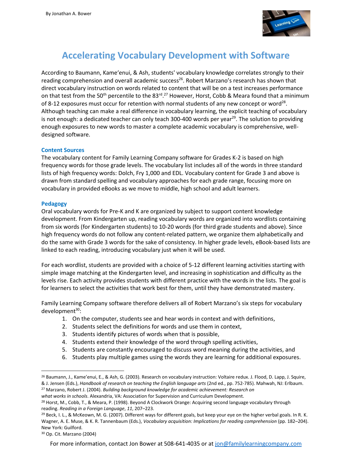

### **Accelerating Vocabulary Development with Software**

According to Baumann, Kame'enui, & Ash, students' vocabulary knowledge correlates strongly to their reading comprehension and overall academic success<sup>26</sup>. Robert Marzano's research has shown that direct vocabulary instruction on words related to content that will be on a test increases performance on that test from the 50<sup>th</sup> percentile to the 83<sup>rd</sup>.<sup>27</sup> However, Horst, Cobb & Meara found that a minimum of 8-12 exposures must occur for retention with normal students of any new concept or word<sup>28</sup>. Although teaching can make a real difference in vocabulary learning, the explicit teaching of vocabulary is not enough: a dedicated teacher can only teach 300-400 words per year<sup>29</sup>. The solution to providing enough exposures to new words to master a complete academic vocabulary is comprehensive, welldesigned software.

#### **Content Sources**

The vocabulary content for Family Learning Company software for Grades K-2 is based on high frequency words for those grade levels. The vocabulary list includes all of the words in three standard lists of high frequency words: Dolch, Fry 1,000 and EDL. Vocabulary content for Grade 3 and above is drawn from standard spelling and vocabulary approaches for each grade range, focusing more on vocabulary in provided eBooks as we move to middle, high school and adult learners.

#### **Pedagogy**

Oral vocabulary words for Pre-K and K are organized by subject to support content knowledge development. From Kindergarten up, reading vocabulary words are organized into wordlists containing from six words (for Kindergarten students) to 10-20 words (for third grade students and above). Since high frequency words do not follow any content-related pattern, we organize them alphabetically and do the same with Grade 3 words for the sake of consistency. In higher grade levels, eBook-based lists are linked to each reading, introducing vocabulary just when it will be used.

For each wordlist, students are provided with a choice of 5-12 different learning activities starting with simple image matching at the Kindergarten level, and increasing in sophistication and difficulty as the levels rise. Each activity provides students with different practice with the words in the lists. The goal is for learners to select the activities that work best for them, until they have demonstrated mastery.

Family Learning Company software therefore delivers all of Robert Marzano's six steps for vocabulary  $d$ evelopment $30$ :

- 1. On the computer, students see and hear words in context and with definitions,
- 2. Students select the definitions for words and use them in context,
- 3. Students identify pictures of words when that is possible,
- 4. Students extend their knowledge of the word through spelling activities,
- 5. Students are constantly encouraged to discuss word meaning during the activities, and
- 6. Students play multiple games using the words they are learning for additional exposures.

<sup>26</sup> Baumann, J., Kame'enui, E., & Ash, G. (2003). Research on vocabulary instruction: Voltaire redux. J. Flood, D. Lapp, J. Squire, & J. Jensen (Eds.), *Handbook of research on teaching the English language arts* (2nd ed., pp. 752-785). Mahwah, NJ: Erlbaum.

<sup>27</sup> Marzano, Robert J. (2004). *Building background knowledge for academic achievement: Research on*

*what works in schools*. Alexandria, VA: Association for Supervision and Curriculum Development.

<sup>&</sup>lt;sup>28</sup> Horst, M., Cobb, T., & Meara, P. (1998). Beyond A Clockwork Orange: Acquiring second language vocabulary through reading. *Reading in a Foreign Language*, *11*, 207–223.

<sup>&</sup>lt;sup>29</sup> Beck, I. L., & McKeown, M. G. (2007). Different ways for different goals, but keep your eye on the higher verbal goals. In R. K. Wagner, A. E. Muse, & K. R. Tannenbaum (Eds.), *Vocabulary acquisition: Implications for reading comprehension* (pp. 182–204). New York: Guilford.

<sup>30</sup> Op. Cit. Marzano (2004)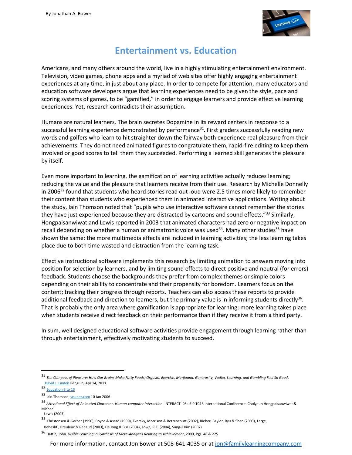

#### **Entertainment vs. Education**

Americans, and many others around the world, live in a highly stimulating entertainment environment. Television, video games, phone apps and a myriad of web sites offer highly engaging entertainment experiences at any time, in just about any place. In order to compete for attention, many educators and education software developers argue that learning experiences need to be given the style, pace and scoring systems of games, to be "gamified," in order to engage learners and provide effective learning experiences. Yet, research contradicts their assumption.

Humans are natural learners. The brain secretes Dopamine in its reward centers in response to a successful learning experience demonstrated by performance<sup>31</sup>. First graders successfully reading new words and golfers who learn to hit straighter down the fairway both experience real pleasure from their achievements. They do not need animated figures to congratulate them, rapid-fire editing to keep them involved or good scores to tell them they succeeded. Performing a learned skill generates the pleasure by itself.

Even more important to learning, the gamification of learning activities actually reduces learning; reducing the value and the pleasure that learners receive from their use. Research by Michelle Donnelly in 2006 $32$  found that students who heard stories read out loud were 2.5 times more likely to remember their content than students who experienced them in animated interactive applications. Writing about the study, Iain Thomson noted that "pupils who use interactive software cannot remember the stories they have just experienced because they are distracted by cartoons and sound effects."<sup>33</sup> Similarly, Hongpaisanwiwat and Lewis reported in 2003 that animated characters had zero or negative impact on recall depending on whether a human or animatronic voice was used<sup>34</sup>. Many other studies<sup>35</sup> have shown the same: the more multimedia effects are included in learning activities; the less learning takes place due to both time wasted and distraction from the learning task.

Effective instructional software implements this research by limiting animation to answers moving into position for selection by learners, and by limiting sound effects to direct positive and neutral (for errors) feedback. Students choose the backgrounds they prefer from complex themes or simple colors depending on their ability to concentrate and their propensity for boredom. Learners focus on the content; tracking their progress through reports. Teachers can also access these reports to provide additional feedback and direction to learners, but the primary value is in informing students directly<sup>36</sup>. That is probably the only area where gamification is appropriate for learning: more learning takes place when students receive direct feedback on their performance than if they receive it from a third party.

In sum, well designed educational software activities provide engagement through learning rather than through entertainment, effectively motivating students to succeed.

<sup>32</sup> [Education 3 to 13](http://www.trentham-books.co.uk/pages/educ313.htm)

<sup>31</sup> *The Compass of Pleasure: How Our Brains Make Fatty Foods, Orgasm, Exercise, Marijuana, Generosity, Vodka, Learning, and Gambling Feel So Good*. [David J. Linden](https://www.google.com/search?tbo=p&tbm=bks&q=inauthor:%22David+J.+Linden%22) Penguin, Apr 14, 2011

<sup>33</sup> Iain Thomson, *vnunet.com* 10 Jan 2006

<sup>34</sup> *Attentional Effect of Animated Character. Human-computer Interaction*, INTERACT '03: IFIP TC13 International Conference. Cholyeun Hongpaisanwiwat & Michael

Lewis (2003)

<sup>35</sup> Christensen & Gerber (1990), Boyce & Assad (1990), Tversky, Morrison & Betrancourt (2002), Rieber, Baylor, Ryu & Shen (2003), Large, Beheshti, Breuleux & Renaud (2003), De Jong & Bus (2004), Lowe, R.K. (2004), Sung-il Kim (2007)

<sup>36</sup> Hattie, John. *Visible Learning: a Synthesis of Meta-Analyses Relating to Achievement*, 2009, Pgs. 48 & 225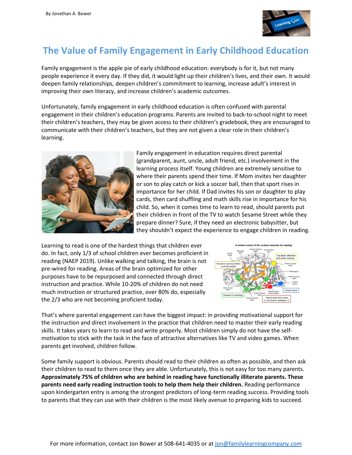

# **The Value of Family Engagement in Early Childhood Education**

Family engagement is the apple pie of early childhood education: everybody is for it, but not many people experience it every day. If they did, it would light up their children's lives, and their own. It would deepen family relationships, deepen children's commitment to learning, increase adult's interest in improving their own literacy, and increase children's academic outcomes.

Unfortunately, family engagement in early childhood education is often confused with parental engagement in their children's education programs. Parents are invited to back-to-school night to meet their children's teachers, they may be given access to their children's gradebook, they are encouraged to communicate with their children's teachers, but they are not given a clear role in their children's learning.



Family engagement in education requires direct parental (grandparent, aunt, uncle, adult friend, etc.) involvement in the learning process itself. Young children are extremely sensitive to where their parents spend their time. If Mom invites her daughter or son to play catch or kick a soccer ball, then that sport rises in importance for her child. If Dad invites his son or daughter to play cards, then card shuffling and math skills rise in importance for his child. So, when it comes time to learn to read, should parents put their children in front of the TV to watch Sesame Street while they prepare dinner? Sure, if they need an electronic babysitter, but they shouldn't expect the experience to engage children in reading.

Learning to read is one of the hardest things that children ever do. In fact, only 1/3 of school children ever becomes proficient in reading (NAEP 2019). Unlike walking and talking, the brain is not pre-wired for reading. Areas of the brain optimized for other purposes have to be repurposed and connected through direct instruction and practice. While 10-20% of children do not need much instruction or structured practice, over 80% do, especially the 2/3 who are not becoming proficient today.



That's where parental engagement can have the biggest impact: in providing motivational support for the instruction and direct involvement in the practice that children need to master their early reading skills. It takes years to learn to read and write properly. Most children simply do not have the selfmotivation to stick with the task in the face of attractive alternatives like TV and video games. When parents get involved, children follow.

Some family support is obvious. Parents should read to their children as often as possible, and then ask their children to read to them once they are able. Unfortunately, this is not easy for too many parents. **Approximately 75% of children who are behind in reading have functionally illiterate parents. These parents need early reading instruction tools to help them help their children.** Reading performance upon kindergarten entry is among the strongest predictors of long-term reading success. Providing tools to parents that they can use with their children is the most likely avenue to preparing kids to succeed.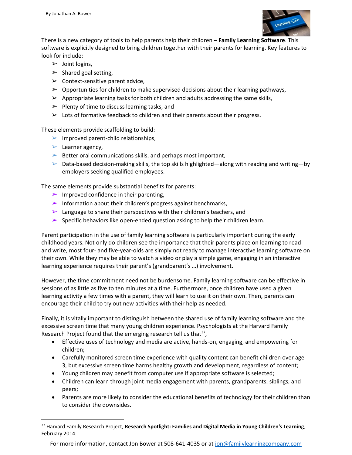

There is a new category of tools to help parents help their children – **Family Learning Software**. This software is explicitly designed to bring children together with their parents for learning. Key features to look for include:

- $\triangleright$  Joint logins,
- $\triangleright$  Shared goal setting,
- $\triangleright$  Context-sensitive parent advice,
- $\triangleright$  Opportunities for children to make supervised decisions about their learning pathways,
- $\triangleright$  Appropriate learning tasks for both children and adults addressing the same skills,
- $\triangleright$  Plenty of time to discuss learning tasks, and
- $\triangleright$  Lots of formative feedback to children and their parents about their progress.

These elements provide scaffolding to build:

- $\blacktriangleright$  Improved parent-child relationships,
- $\blacktriangleright$  Learner agency,
- $\triangleright$  Better oral communications skills, and perhaps most important,
- $\triangleright$  Data-based decision-making skills, the top skills highlighted—along with reading and writing—by employers seeking qualified employees.

The same elements provide substantial benefits for parents:

- $\triangleright$  Improved confidence in their parenting,
- $\triangleright$  Information about their children's progress against benchmarks,
- $\blacktriangleright$  Language to share their perspectives with their children's teachers, and
- $\triangleright$  Specific behaviors like open-ended question asking to help their children learn.

Parent participation in the use of family learning software is particularly important during the early childhood years. Not only do children see the importance that their parents place on learning to read and write, most four- and five-year-olds are simply not ready to manage interactive learning software on their own. While they may be able to watch a video or play a simple game, engaging in an interactive learning experience requires their parent's (grandparent's …) involvement.

However, the time commitment need not be burdensome. Family learning software can be effective in sessions of as little as five to ten minutes at a time. Furthermore, once children have used a given learning activity a few times with a parent, they will learn to use it on their own. Then, parents can encourage their child to try out new activities with their help as needed.

Finally, it is vitally important to distinguish between the shared use of family learning software and the excessive screen time that many young children experience. Psychologists at the Harvard Family Research Project found that the emerging research tell us that $37$ ,

- Effective uses of technology and media are active, hands-on, engaging, and empowering for children;
- Carefully monitored screen time experience with quality content can benefit children over age 3, but excessive screen time harms healthy growth and development, regardless of content;
- Young children may benefit from computer use if appropriate software is selected;
- Children can learn through joint media engagement with parents, grandparents, siblings, and peers;
- Parents are more likely to consider the educational benefits of technology for their children than to consider the downsides.

For more information, contact Jon Bower at 508-641-4035 or at [jon@familylearningcompany.com](mailto:jon@familylearningcompany.com)

<sup>37</sup> Harvard Family Research Project, **Research Spotlight: Families and Digital Media in Young Children's Learning**, February 2014.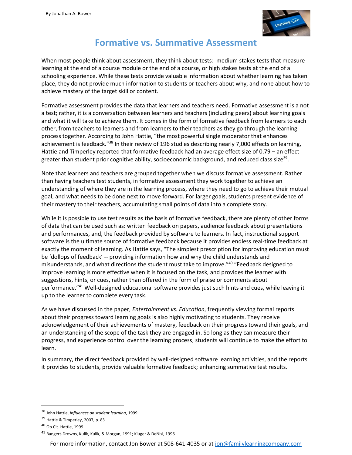

#### **Formative vs. Summative Assessment**

When most people think about assessment, they think about tests: medium stakes tests that measure learning at the end of a course module or the end of a course, or high stakes tests at the end of a schooling experience. While these tests provide valuable information about whether learning has taken place, they do not provide much information to students or teachers about why, and none about how to achieve mastery of the target skill or content.

Formative assessment provides the data that learners and teachers need. Formative assessment is a not a test; rather, it is a conversation between learners and teachers (including peers) about learning goals and what it will take to achieve them. It comes in the form of formative feedback from learners to each other, from teachers to learners and from learners to their teachers as they go through the learning process together. According to John Hattie, "the most powerful single moderator that enhances achievement is feedback."<sup>38</sup> In their review of 196 studies describing nearly 7,000 effects on learning, Hattie and Timperley reported that formative feedback had an average effect size of 0.79 – an effect greater than student prior cognitive ability, socioeconomic background, and reduced class size<sup>39</sup>.

Note that learners and teachers are grouped together when we discuss formative assessment. Rather than having teachers test students, in formative assessment they work together to achieve an understanding of where they are in the learning process, where they need to go to achieve their mutual goal, and what needs to be done next to move forward. For larger goals, students present evidence of their mastery to their teachers, accumulating small points of data into a complete story.

While it is possible to use test results as the basis of formative feedback, there are plenty of other forms of data that can be used such as: written feedback on papers, audience feedback about presentations and performances, and, the feedback provided by software to learners. In fact, instructional support software is the ultimate source of formative feedback because it provides endless real-time feedback at exactly the moment of learning. As Hattie says, "The simplest prescription for improving education must be 'dollops of feedback' -- providing information how and why the child understands and misunderstands, and what directions the student must take to improve." 40 "Feedback designed to improve learning is more effective when it is focused on the task, and provides the learner with suggestions, hints, or cues, rather than offered in the form of praise or comments about performance." <sup>41</sup> Well-designed educational software provides just such hints and cues, while leaving it up to the learner to complete every task.

As we have discussed in the paper, *Entertainment vs. Education*, frequently viewing formal reports about their progress toward learning goals is also highly motivating to students. They receive acknowledgement of their achievements of mastery, feedback on their progress toward their goals, and an understanding of the scope of the task they are engaged in. So long as they can measure their progress, and experience control over the learning process, students will continue to make the effort to learn.

In summary, the direct feedback provided by well-designed software learning activities, and the reports it provides to students, provide valuable formative feedback; enhancing summative test results.

For more information, contact Jon Bower at 508-641-4035 or at [jon@familylearningcompany.com](mailto:jon@familylearningcompany.com)

<sup>38</sup> John Hattie, *Influences on student learning*, 1999

<sup>39</sup> Hattie & Timperley, 2007, p. 83

<sup>40</sup> Op.Cit. Hattie, 1999

<sup>41</sup> Bangert-Drowns, Kulik, Kulik, & Morgan, 1991; Kluger & DeNisi, 1996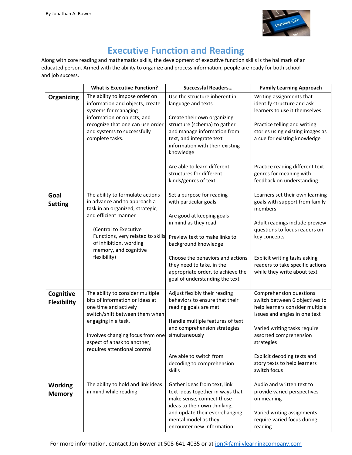

### **Executive Function and Reading**

Along with core reading and mathematics skills, the development of executive function skills is the hallmark of an educated person. Armed with the ability to organize and process information, people are ready for both school and job success.

|                                 | <b>What is Executive Function?</b>                                                                                                                                                                                                                            | <b>Successful Readers</b>                                                                                                                                                                                                                                                                                | <b>Family Learning Approach</b>                                                                                                                                                                                                                                                      |
|---------------------------------|---------------------------------------------------------------------------------------------------------------------------------------------------------------------------------------------------------------------------------------------------------------|----------------------------------------------------------------------------------------------------------------------------------------------------------------------------------------------------------------------------------------------------------------------------------------------------------|--------------------------------------------------------------------------------------------------------------------------------------------------------------------------------------------------------------------------------------------------------------------------------------|
| <b>Organizing</b>               | The ability to impose order on<br>information and objects, create<br>systems for managing<br>information or objects, and<br>recognize that one can use order<br>and systems to successfully<br>complete tasks.                                                | Use the structure inherent in<br>language and texts<br>Create their own organizing<br>structure (schema) to gather<br>and manage information from<br>text, and integrate text<br>information with their existing<br>knowledge                                                                            | Writing assignments that<br>identify structure and ask<br>learners to use it themselves<br>Practice telling and writing<br>stories using existing images as<br>a cue for existing knowledge                                                                                          |
|                                 |                                                                                                                                                                                                                                                               | Are able to learn different<br>structures for different<br>kinds/genres of text                                                                                                                                                                                                                          | Practice reading different text<br>genres for meaning with<br>feedback on understanding                                                                                                                                                                                              |
| Goal<br><b>Setting</b>          | The ability to formulate actions<br>in advance and to approach a<br>task in an organized, strategic,<br>and efficient manner<br>(Central to Executive<br>Functions, very related to skills<br>of inhibition, wording<br>memory, and cognitive<br>flexibility) | Set a purpose for reading<br>with particular goals<br>Are good at keeping goals<br>in mind as they read<br>Preview text to make links to<br>background knowledge<br>Choose the behaviors and actions<br>they need to take, in the<br>appropriate order, to achieve the<br>goal of understanding the text | Learners set their own learning<br>goals with support from family<br>members<br>Adult readings include preview<br>questions to focus readers on<br>key concepts<br>Explicit writing tasks asking<br>readers to take specific actions<br>while they write about text                  |
| Cognitive<br><b>Flexibility</b> | The ability to consider multiple<br>bits of information or ideas at<br>one time and actively<br>switch/shift between them when<br>engaging in a task.<br>Involves changing focus from one<br>aspect of a task to another,<br>requires attentional control     | Adjust flexibly their reading<br>behaviors to ensure that their<br>reading goals are met<br>Handle multiple features of text<br>and comprehension strategies<br>simultaneously<br>Are able to switch from<br>decoding to comprehension<br>skills                                                         | Comprehension questions<br>switch between 6 objectives to<br>help learners consider multiple<br>issues and angles in one text<br>Varied writing tasks require<br>assorted comprehension<br>strategies<br>Explicit decoding texts and<br>story texts to help learners<br>switch focus |
| <b>Working</b><br><b>Memory</b> | The ability to hold and link ideas<br>in mind while reading                                                                                                                                                                                                   | Gather ideas from text, link<br>text ideas together in ways that<br>make sense, connect those<br>ideas to their own thinking,<br>and update their ever-changing<br>mental model as they<br>encounter new information                                                                                     | Audio and written text to<br>provide varied perspectives<br>on meaning<br>Varied writing assignments<br>require varied focus during<br>reading                                                                                                                                       |